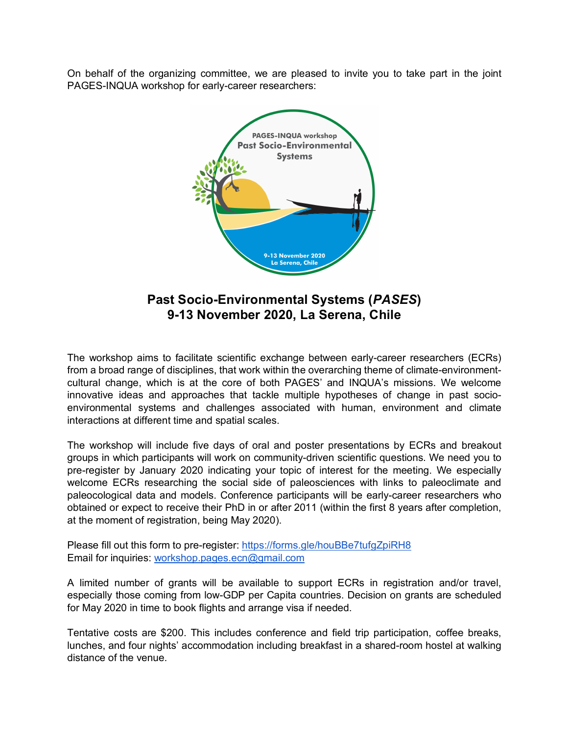On behalf of the organizing committee, we are pleased to invite you to take part in the joint PAGES-INQUA workshop for early-career researchers:



**Past Socio-Environmental Systems (***PASES***) 9-13 November 2020, La Serena, Chile**

The workshop aims to facilitate scientific exchange between early-career researchers (ECRs) from a broad range of disciplines, that work within the overarching theme of climate-environmentcultural change, which is at the core of both PAGES' and INQUA's missions. We welcome innovative ideas and approaches that tackle multiple hypotheses of change in past socioenvironmental systems and challenges associated with human, environment and climate interactions at different time and spatial scales.

The workshop will include five days of oral and poster presentations by ECRs and breakout groups in which participants will work on community-driven scientific questions. We need you to pre-register by January 2020 indicating your topic of interest for the meeting. We especially welcome ECRs researching the social side of paleosciences with links to paleoclimate and paleocological data and models. Conference participants will be early-career researchers who obtained or expect to receive their PhD in or after 2011 (within the first 8 years after completion, at the moment of registration, being May 2020).

Please fill out this form to pre-register: https://forms.gle/houBBe7tufgZpiRH8 Email for inquiries: workshop.pages.ecn@gmail.com

A limited number of grants will be available to support ECRs in registration and/or travel, especially those coming from low-GDP per Capita countries. Decision on grants are scheduled for May 2020 in time to book flights and arrange visa if needed.

Tentative costs are \$200. This includes conference and field trip participation, coffee breaks, lunches, and four nights' accommodation including breakfast in a shared-room hostel at walking distance of the venue.